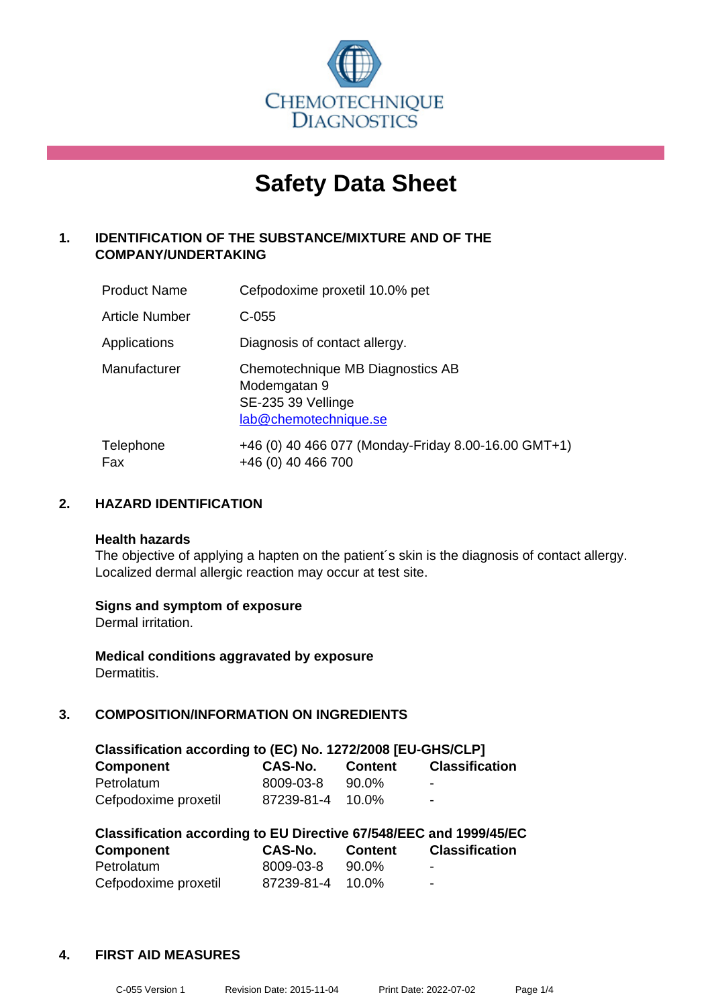

# **Safety Data Sheet**

## **1. IDENTIFICATION OF THE SUBSTANCE/MIXTURE AND OF THE COMPANY/UNDERTAKING**

| <b>Product Name</b> | Cefpodoxime proxetil 10.0% pet                                                                  |
|---------------------|-------------------------------------------------------------------------------------------------|
| Article Number      | $C-055$                                                                                         |
| Applications        | Diagnosis of contact allergy.                                                                   |
| Manufacturer        | Chemotechnique MB Diagnostics AB<br>Modemgatan 9<br>SE-235 39 Vellinge<br>lab@chemotechnique.se |
| Telephone<br>Fax    | +46 (0) 40 466 077 (Monday-Friday 8.00-16.00 GMT+1)<br>+46 (0) 40 466 700                       |

## **2. HAZARD IDENTIFICATION**

#### **Health hazards**

The objective of applying a hapten on the patient's skin is the diagnosis of contact allergy. Localized dermal allergic reaction may occur at test site.

## **Signs and symptom of exposure**

Dermal irritation.

**Medical conditions aggravated by exposure** Dermatitis.

## **3. COMPOSITION/INFORMATION ON INGREDIENTS**

| Classification according to (EC) No. 1272/2008 [EU-GHS/CLP] |                |                |                       |  |
|-------------------------------------------------------------|----------------|----------------|-----------------------|--|
| <b>Component</b>                                            | <b>CAS-No.</b> | <b>Content</b> | <b>Classification</b> |  |
| Petrolatum                                                  | 8009-03-8      | 90.0%          | -                     |  |
| Cefpodoxime proxetil                                        | 87239-81-4     | $10.0\%$       | $\blacksquare$        |  |

| Classification according to EU Directive 67/548/EEC and 1999/45/EC |                  |                |                       |  |
|--------------------------------------------------------------------|------------------|----------------|-----------------------|--|
| <b>Component</b>                                                   | CAS-No.          | <b>Content</b> | <b>Classification</b> |  |
| Petrolatum                                                         | 8009-03-8        | 90.0%          | $\blacksquare$        |  |
| Cefpodoxime proxetil                                               | 87239-81-4 10.0% |                | ۰                     |  |

## **4. FIRST AID MEASURES**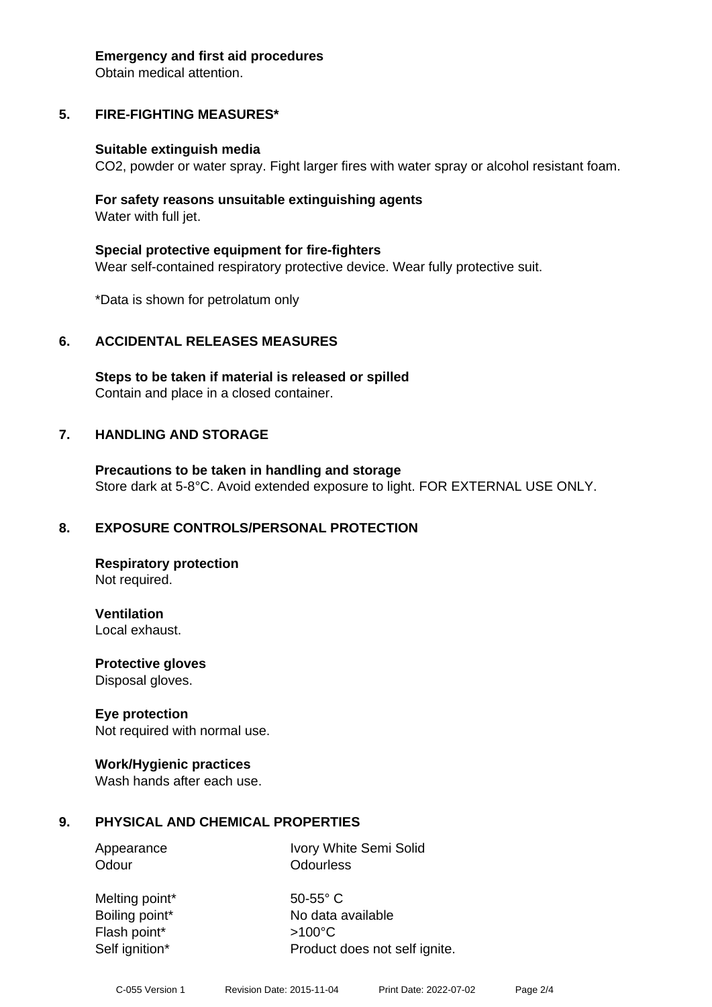#### **Emergency and first aid procedures**

Obtain medical attention.

# **5. FIRE-FIGHTING MEASURES\***

## **Suitable extinguish media**

CO2, powder or water spray. Fight larger fires with water spray or alcohol resistant foam.

## **For safety reasons unsuitable extinguishing agents** Water with full jet.

**Special protective equipment for fire-fighters** Wear self-contained respiratory protective device. Wear fully protective suit.

\*Data is shown for petrolatum only

# **6. ACCIDENTAL RELEASES MEASURES**

**Steps to be taken if material is released or spilled** Contain and place in a closed container.

# **7. HANDLING AND STORAGE**

**Precautions to be taken in handling and storage** Store dark at 5-8°C. Avoid extended exposure to light. FOR EXTERNAL USE ONLY.

# **8. EXPOSURE CONTROLS/PERSONAL PROTECTION**

**Respiratory protection** Not required.

**Ventilation** Local exhaust.

**Protective gloves**

Disposal gloves.

# **Eye protection**

Not required with normal use.

## **Work/Hygienic practices**

Wash hands after each use.

# **9. PHYSICAL AND CHEMICAL PROPERTIES**

Appearance Ivory White Semi Solid Odour **Odourless** 

Melting point\* 50-55° C Flash point\* >100°C

Boiling point\* No data available Self ignition\* Product does not self ignite.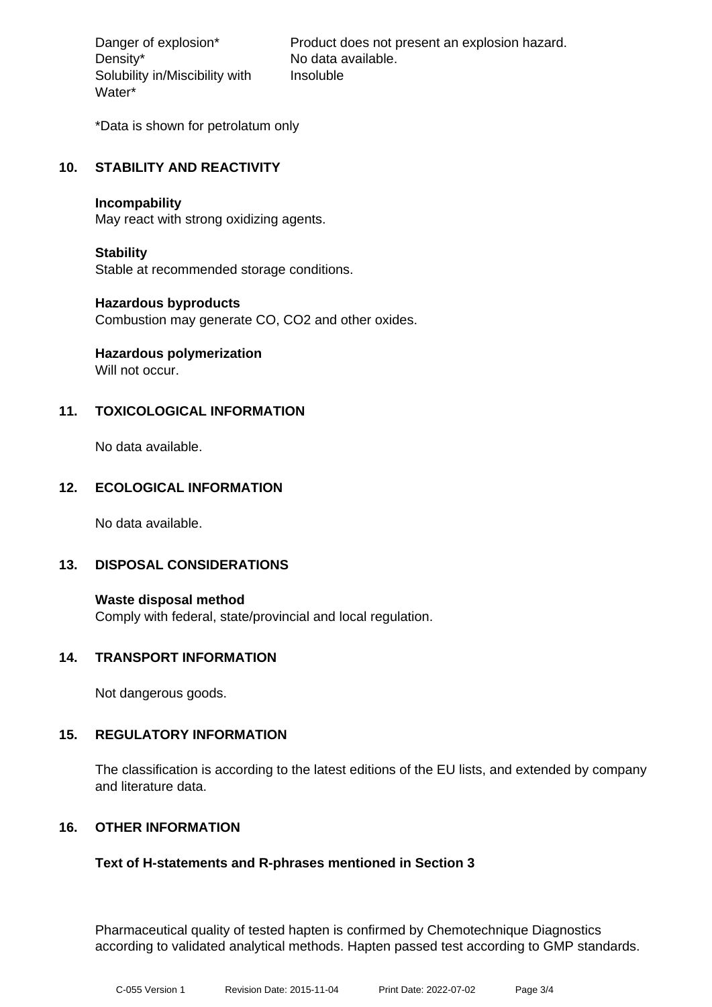Density\* No data available. Solubility in/Miscibility with Water\*

Danger of explosion\* Product does not present an explosion hazard. Insoluble

\*Data is shown for petrolatum only

## **10. STABILITY AND REACTIVITY**

#### **Incompability**

May react with strong oxidizing agents.

## **Stability**

Stable at recommended storage conditions.

## **Hazardous byproducts**

Combustion may generate CO, CO2 and other oxides.

# **Hazardous polymerization**

Will not occur.

## **11. TOXICOLOGICAL INFORMATION**

No data available.

## **12. ECOLOGICAL INFORMATION**

No data available.

## **13. DISPOSAL CONSIDERATIONS**

**Waste disposal method** Comply with federal, state/provincial and local regulation.

## **14. TRANSPORT INFORMATION**

Not dangerous goods.

## **15. REGULATORY INFORMATION**

The classification is according to the latest editions of the EU lists, and extended by company and literature data.

## **16. OTHER INFORMATION**

## **Text of H-statements and R-phrases mentioned in Section 3**

Pharmaceutical quality of tested hapten is confirmed by Chemotechnique Diagnostics according to validated analytical methods. Hapten passed test according to GMP standards.